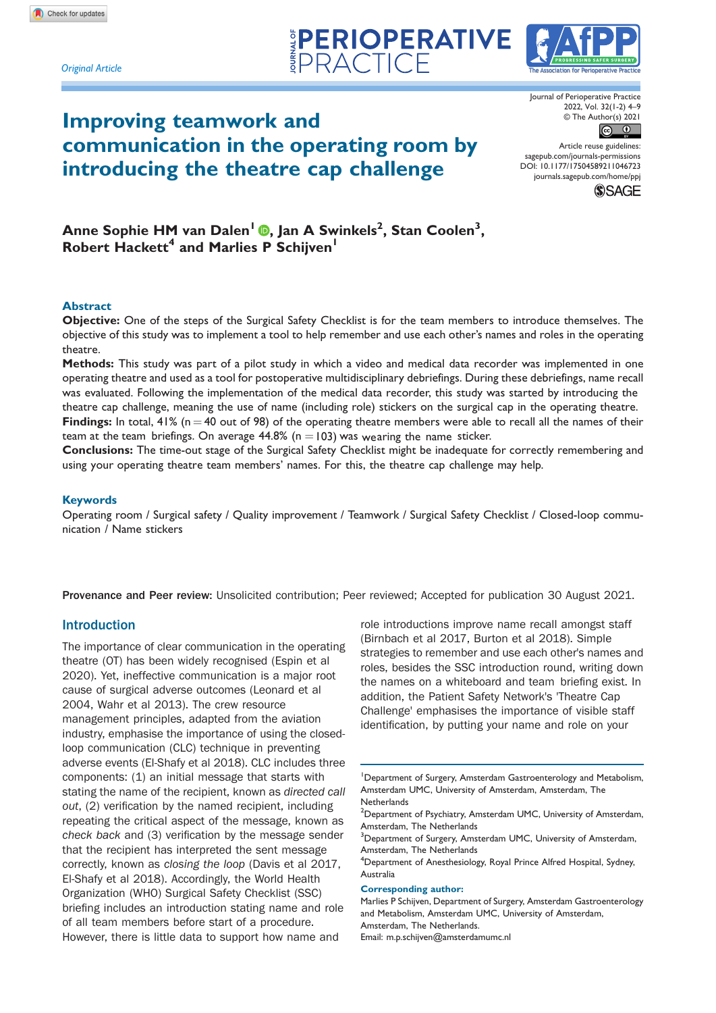*Original Article*

# Improving teamwork and communication in the operating room by introducing the theatre cap challenge

The Association for Perioperative Practice

Journal of Perioperative Practice 2022, Vol. 32(1-2) 4–9 © The Author(s) 2021



Article reuse guidelines: [sagepub.com/journals-permissions](https://uk.sagepub.com/en-gb/journals-permissions) DOI: 10.1177/17504589211046723 [journals.sagepub.com/home/ppj](https://journals.sagepub.com/home/ppj) **SSAGE** 

Anne Sophie HM van Dalen<sup>1</sup> , Jan A Swinkels2 , Stan Coolen<sup>3</sup> , Robert Hackett<sup>4</sup> and Marlies P Schijven<sup>1</sup>

#### Abstract

Objective: One of the steps of the Surgical Safety Checklist is for the team members to introduce themselves. The objective of this study was to implement a tool to help remember and use each other's names and roles in the operating theatre.

**PERIOPERATIVE** 

Methods: This study was part of a pilot study in which a video and medical data recorder was implemented in one operating theatre and used as a tool for postoperative multidisciplinary debriefings. During these debriefings, name recall was evaluated. Following the implementation of the medical data recorder, this study was started by introducing the theatre cap challenge, meaning the use of name (including role) stickers on the surgical cap in the operating theatre. Findings: In total,  $41\%$  (n = 40 out of 98) of the operating theatre members were able to recall all the names of their team at the team briefings. On average  $44.8\%$  (n  $=$  103) was wearing the name sticker.

Conclusions: The time-out stage of the Surgical Safety Checklist might be inadequate for correctly remembering and using your operating theatre team members' names. For this, the theatre cap challenge may help.

#### Keywords

Operating room / Surgical safety / Quality improvement / Teamwork / Surgical Safety Checklist / Closed-loop communication / Name stickers

Provenance and Peer review: Unsolicited contribution; Peer reviewed; Accepted for publication 30 August 2021.

# Introduction

The importance of clear communication in the operating theatre (OT) has been widely recognised (Espin et al 2020). Yet, ineffective communication is a major root cause of surgical adverse outcomes (Leonard et al 2004, Wahr et al 2013). The crew resource management principles, adapted from the aviation industry, emphasise the importance of using the closedloop communication (CLC) technique in preventing adverse events (El-Shafy et al 2018). CLC includes three components: (1) an initial message that starts with stating the name of the recipient, known as directed call out, (2) verification by the named recipient, including repeating the critical aspect of the message, known as check back and (3) verification by the message sender that the recipient has interpreted the sent message correctly, known as closing the loop (Davis et al 2017, El-Shafy et al 2018). Accordingly, the World Health Organization (WHO) Surgical Safety Checklist (SSC) briefing includes an introduction stating name and role of all team members before start of a procedure. However, there is little data to support how name and

role introductions improve name recall amongst staff (Birnbach et al 2017, Burton et al 2018). Simple strategies to remember and use each other's names and roles, besides the SSC introduction round, writing down the names on a whiteboard and team briefing exist. In addition, the Patient Safety Network's 'Theatre Cap Challenge' emphasises the importance of visible staff identification, by putting your name and role on your

Corresponding author:

Marlies P Schijven, Department of Surgery, Amsterdam Gastroenterology and Metabolism, Amsterdam UMC, University of Amsterdam, Amsterdam, The Netherlands.

Email: m.p.schijven@amsterdamumc.nl

<sup>&</sup>lt;sup>1</sup>Department of Surgery, Amsterdam Gastroenterology and Metabolism, Amsterdam UMC, University of Amsterdam, Amsterdam, The **Netherlands** 

 $^{2}$ Department of Psychiatry, Amsterdam UMC, University of Amsterdam, Amsterdam, The Netherlands

<sup>&</sup>lt;sup>3</sup>Department of Surgery, Amsterdam UMC, University of Amsterdam, Amsterdam, The Netherlands

<sup>&</sup>lt;sup>4</sup>Department of Anesthesiology, Royal Prince Alfred Hospital, Sydney, Australia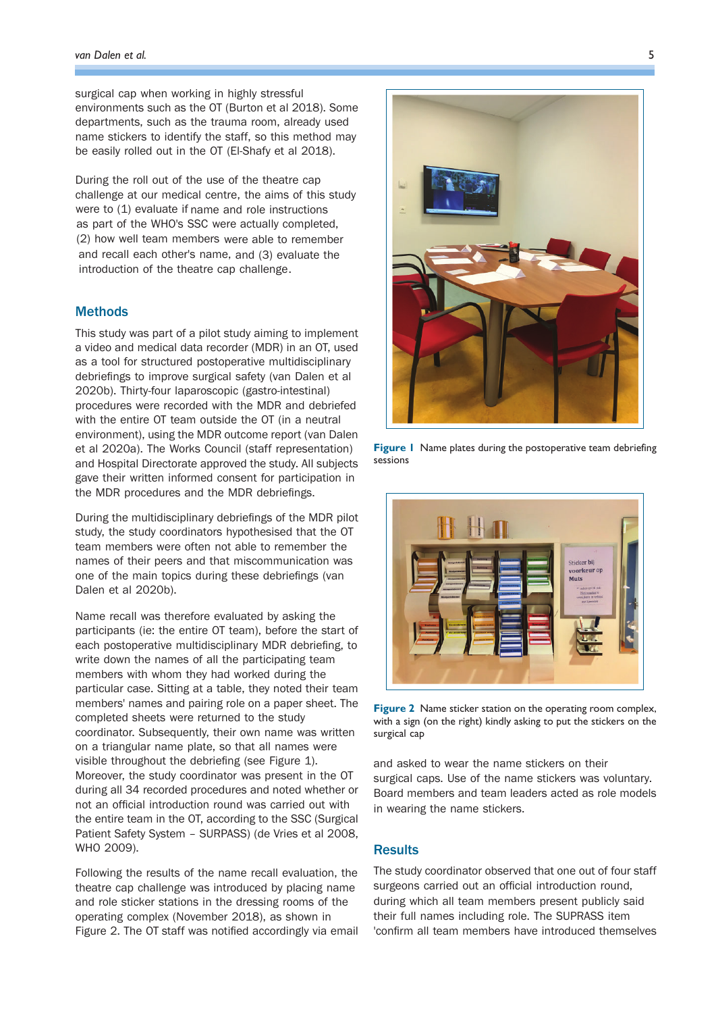surgical cap when working in highly stressful environments such as the OT (Burton et al 2018). Some departments, such as the trauma room, already used name stickers to identify the staff, so this method may be easily rolled out in the OT (El-Shafy et al 2018).

During the roll out of the use of the theatre cap challenge at our medical centre, the aims of this study were to (1) evaluate if name and role instructions as part of the WHO's SSC were actually completed, (2) how well team members were able to remember and recall each other's name, and (3) evaluate the introduction of the theatre cap challenge .

# **Methods**

This study was part of a pilot study aiming to implement a video and medical data recorder (MDR) in an OT, used as a tool for structured postoperative multidisciplinary debriefings to improve surgical safety (van Dalen et al 2020b). Thirty-four laparoscopic (gastro-intestinal) procedures were recorded with the MDR and debriefed with the entire OT team outside the OT (in a neutral environment), using the MDR outcome report (van Dalen et al 2020a). The Works Council (staff representation) and Hospital Directorate approved the study. All subjects gave their written informed consent for participation in the MDR procedures and the MDR debriefings.

During the multidisciplinary debriefings of the MDR pilot study, the study coordinators hypothesised that the OT team members were often not able to remember the names of their peers and that miscommunication was one of the main topics during these debriefings (van Dalen et al 2020b).

Name recall was therefore evaluated by asking the participants (ie: the entire OT team), before the start of each postoperative multidisciplinary MDR debriefing, to write down the names of all the participating team members with whom they had worked during the particular case. Sitting at a table, they noted their team members' names and pairing role on a paper sheet. The completed sheets were returned to the study coordinator. Subsequently, their own name was written on a triangular name plate, so that all names were visible throughout the debriefing (see Figure 1). Moreover, the study coordinator was present in the OT during all 34 recorded procedures and noted whether or not an official introduction round was carried out with the entire team in the OT, according to the SSC (Surgical Patient Safety System – SURPASS) (de Vries et al 2008, WHO 2009).

Following the results of the name recall evaluation, the theatre cap challenge was introduced by placing name and role sticker stations in the dressing rooms of the operating complex (November 2018), as shown in Figure 2. The OT staff was notified accordingly via email



Figure 1 Name plates during the postoperative team debriefing sessions



Figure 2 Name sticker station on the operating room complex, with a sign (on the right) kindly asking to put the stickers on the surgical cap

and asked to wear the name stickers on their surgical caps. Use of the name stickers was voluntary. Board members and team leaders acted as role models in wearing the name stickers.

## **Results**

The study coordinator observed that one out of four staff surgeons carried out an official introduction round, during which all team members present publicly said their full names including role. The SUPRASS item 'confirm all team members have introduced themselves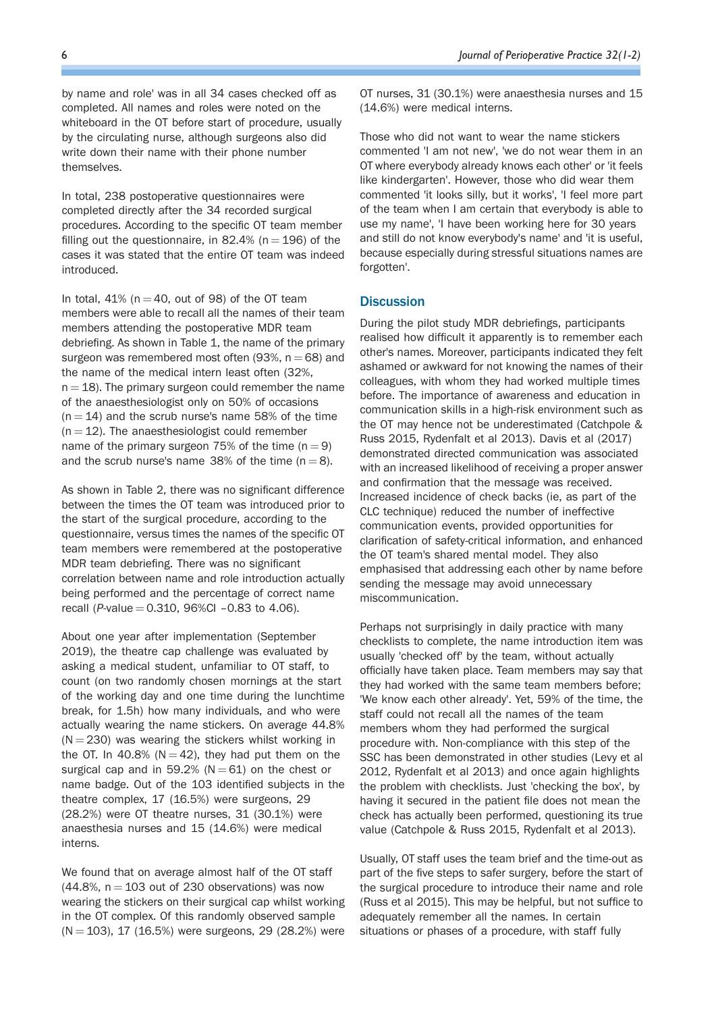by name and role' was in all 34 cases checked off as completed. All names and roles were noted on the whiteboard in the OT before start of procedure, usually by the circulating nurse, although surgeons also did write down their name with their phone number themselves.

In total, 238 postoperative questionnaires were completed directly after the 34 recorded surgical procedures. According to the specific OT team member filling out the questionnaire, in 82.4% ( $n = 196$ ) of the cases it was stated that the entire OT team was indeed introduced.

In total,  $41\%$  (n = 40, out of 98) of the OT team members were able to recall all the names of their team members attending the postoperative MDR team debriefing. As shown in Table 1, the name of the primary surgeon was remembered most often (93%,  $n = 68$ ) and the name of the medical intern least often (32%,  $n = 18$ ). The primary surgeon could remember the name of the anaesthesiologist only on 50% of occasions  $(n = 14)$  and the scrub nurse's name 58% of the time  $(n = 12)$ . The anaesthesiologist could remember name of the primary surgeon 75% of the time  $(n = 9)$ and the scrub nurse's name 38% of the time  $(n = 8)$ .

As shown in Table 2, there was no significant difference between the times the OT team was introduced prior to the start of the surgical procedure, according to the questionnaire, versus times the names of the specific OT team members were remembered at the postoperative MDR team debriefing. There was no significant correlation between name and role introduction actually being performed and the percentage of correct name recall (P-value  $= 0.310$ , 96%CI -0.83 to 4.06).

About one year after implementation (September 2019), the theatre cap challenge was evaluated by asking a medical student, unfamiliar to OT staff, to count (on two randomly chosen mornings at the start of the working day and one time during the lunchtime break, for 1.5h) how many individuals, and who were actually wearing the name stickers. On average 44.8%  $(N = 230)$  was wearing the stickers whilst working in the OT. In 40.8% ( $N = 42$ ), they had put them on the surgical cap and in 59.2% ( $N = 61$ ) on the chest or name badge. Out of the 103 identified subjects in the theatre complex, 17 (16.5%) were surgeons, 29 (28.2%) were OT theatre nurses, 31 (30.1%) were anaesthesia nurses and 15 (14.6%) were medical interns.

We found that on average almost half of the OT staff  $(44.8\% , n = 103$  out of 230 observations) was now wearing the stickers on their surgical cap whilst working in the OT complex. Of this randomly observed sample  $(N = 103)$ , 17 (16.5%) were surgeons, 29 (28.2%) were

OT nurses, 31 (30.1%) were anaesthesia nurses and 15 (14.6%) were medical interns.

Those who did not want to wear the name stickers commented 'I am not new', 'we do not wear them in an OT where everybody already knows each other' or 'it feels like kindergarten'. However, those who did wear them commented 'it looks silly, but it works', 'I feel more part of the team when I am certain that everybody is able to use my name', 'I have been working here for 30 years and still do not know everybody's name' and 'it is useful, because especially during stressful situations names are forgotten'.

## **Discussion**

During the pilot study MDR debriefings, participants realised how difficult it apparently is to remember each other's names. Moreover, participants indicated they felt ashamed or awkward for not knowing the names of their colleagues, with whom they had worked multiple times before. The importance of awareness and education in communication skills in a high-risk environment such as the OT may hence not be underestimated (Catchpole & Russ 2015, Rydenfalt et al 2013). Davis et al (2017) demonstrated directed communication was associated with an increased likelihood of receiving a proper answer and confirmation that the message was received. Increased incidence of check backs (ie, as part of the CLC technique) reduced the number of ineffective communication events, provided opportunities for clarification of safety-critical information, and enhanced the OT team's shared mental model. They also emphasised that addressing each other by name before sending the message may avoid unnecessary miscommunication.

Perhaps not surprisingly in daily practice with many checklists to complete, the name introduction item was usually 'checked off' by the team, without actually officially have taken place. Team members may say that they had worked with the same team members before; 'We know each other already'. Yet, 59% of the time, the staff could not recall all the names of the team members whom they had performed the surgical procedure with. Non-compliance with this step of the SSC has been demonstrated in other studies (Levy et al 2012, Rydenfalt et al 2013) and once again highlights the problem with checklists. Just 'checking the box', by having it secured in the patient file does not mean the check has actually been performed, questioning its true value (Catchpole & Russ 2015, Rydenfalt et al 2013).

Usually, OT staff uses the team brief and the time-out as part of the five steps to safer surgery, before the start of the surgical procedure to introduce their name and role (Russ et al 2015). This may be helpful, but not suffice to adequately remember all the names. In certain situations or phases of a procedure, with staff fully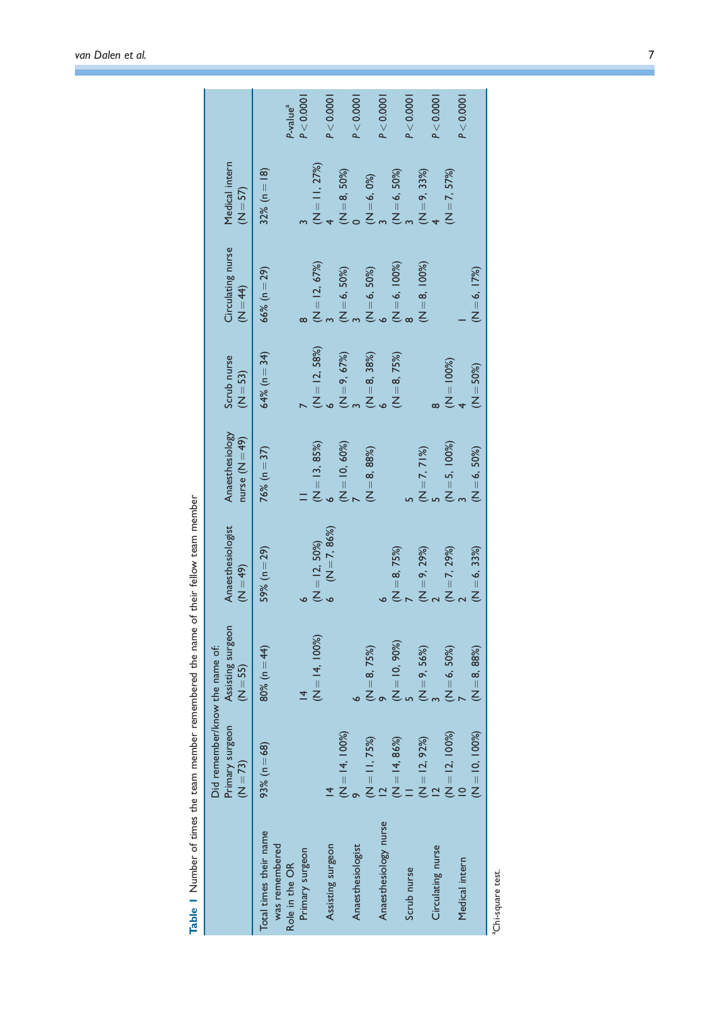|                                          | Did remember/know the name of:<br>Primary surgeon<br>$(N = 73)$ | Assisting surgeon<br>$(N = 55)$ | Anaesthesiologist<br>$(N = 49)$       | Anaesthesiology<br>nurse $(N=49)$ | Scrub nurse<br>$(N = 53)$                | Circulating nurse<br>$(N = 44)$ | Medical intern<br>$(N = 57)$                               |                      |
|------------------------------------------|-----------------------------------------------------------------|---------------------------------|---------------------------------------|-----------------------------------|------------------------------------------|---------------------------------|------------------------------------------------------------|----------------------|
| Total times their name<br>was remembered | 93% ( $n = 68$ )                                                | 80% ( $n = 44$ )                | $59\% (n = 29)$                       | $76\% (n = 37)$                   | $64% (n = 34)$                           | $66\% (n = 29)$                 | 32% ( $n = 18$ )                                           |                      |
| Role in the OR                           |                                                                 |                                 |                                       |                                   |                                          |                                 |                                                            | P-value <sup>a</sup> |
| Primary surgeon                          |                                                                 |                                 |                                       |                                   |                                          |                                 |                                                            | P < 0.0001           |
|                                          |                                                                 | $(N = 14, 100\%)$               | $(N = 12, 50\%)$<br>6 $(N = 7, 86\%)$ | $(N = 13, 85%)$<br>6              | $(N = 12, 58%)$<br>6                     | $(N = 12, 67%)$<br>3            | $(N = 11, 27%)$                                            |                      |
| Assisting surgeon                        |                                                                 |                                 |                                       |                                   |                                          |                                 |                                                            | P < 0.0001           |
|                                          | $(N = 14, 100\%)$                                               |                                 |                                       | $(N = 10, 60\%)$                  |                                          | $(N = 6, 50%)$<br>3             | $(N=8, 50%)$<br>0                                          |                      |
| Anaesthesiologist                        |                                                                 |                                 |                                       |                                   |                                          |                                 |                                                            | P < 0.0001           |
|                                          | $(N = 11, 75%)$                                                 | $(N = 8, 75%)$<br>9             |                                       | $(N = 8, 88%)$                    | $(N = 9, 67%)$<br>3<br>(N = 8, 38%)<br>6 | $(M = 6, 50%)$<br>6             | (N = 6, 0%)<br>3<br>(N = 6, 50%)<br>3<br>(N = 9, 33%)<br>4 |                      |
| Anaesthesiology nurse                    |                                                                 |                                 |                                       |                                   |                                          |                                 |                                                            | P < 0.0001           |
|                                          | $N = 14, 86\%)$                                                 | $(N = 10, 90\%)$                | $(N=8, 75%)$                          |                                   | $(N = 8, 75%)$                           | $(N = 6, 100%)$<br>8            |                                                            |                      |
| Scrub nurse                              |                                                                 |                                 |                                       |                                   |                                          |                                 |                                                            | P < 0.0001           |
|                                          | $(N = 12, 92%)$<br>12                                           | $(N = 9, 56%)$<br>3             | $(N=9, 29%)$<br>2                     | $(N = 7, 71%)$<br>5               |                                          | $(N = 8, 100\%)$                |                                                            |                      |
| Circulating nurse                        |                                                                 |                                 |                                       |                                   |                                          |                                 |                                                            | P < 0.0001           |
|                                          | $(N = 12, 100\%)$                                               | $(N = 6, 50%)$                  | $(N = 7, 29%)$<br>2                   | $(N = 5, 100\%)$<br>3             | $(M = 100%)$<br>4                        |                                 | $(N = 7, 57%)$                                             |                      |
| Medical intern                           |                                                                 |                                 |                                       |                                   |                                          |                                 |                                                            | P < 0.0001           |
|                                          | $(N = 10, 100%)$                                                | $(N = 8, 88%)$                  | $(N = 6, 33%)$                        | $(N = 6, 50\%)$                   | $(N = 50\%)$                             | $(N = 6, 17%)$                  |                                                            |                      |
|                                          |                                                                 |                                 |                                       |                                   |                                          |                                 |                                                            |                      |

Table | Number of times the team member remembered the name of their fellow team member Table 1 Number of times the team member remembered the name of their fellow team member

aChi-square test. aChi-square test.

ń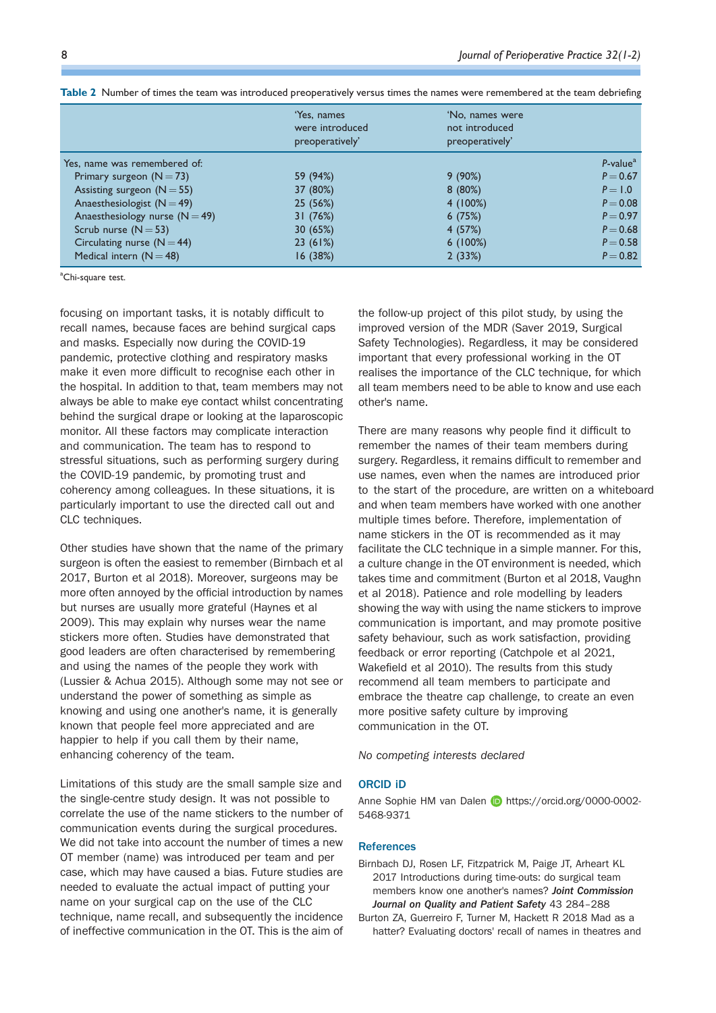|                                  | 'Yes, names<br>were introduced<br>preoperatively' | 'No. names were<br>not introduced<br>preoperatively' |                                      |
|----------------------------------|---------------------------------------------------|------------------------------------------------------|--------------------------------------|
| Yes, name was remembered of:     |                                                   |                                                      | $P$ -value <sup><math>a</math></sup> |
| Primary surgeon $(N = 73)$       | 59 (94%)                                          | 9(90%)                                               | $P = 0.67$                           |
| Assisting surgeon $(N = 55)$     | 37 (80%)                                          | 8(80%)                                               | $P = 1.0$                            |
| Anaesthesiologist $(N = 49)$     | 25(56%)                                           | 4(100%)                                              | $P = 0.08$                           |
| Anaesthesiology nurse $(N = 49)$ | 31(76%)                                           | 6(75%)                                               | $P = 0.97$                           |
| Scrub nurse $(N = 53)$           | 30(65%)                                           | 4(57%)                                               | $P = 0.68$                           |
| Circulating nurse $(N = 44)$     | 23(61%)                                           | 6(100%)                                              | $P = 0.58$                           |
| Medical intern $(N = 48)$        | 16(38%)                                           | 2(33%)                                               | $P = 0.82$                           |

Table 2 Number of times the team was introduced preoperatively versus times the names were remembered at the team debriefing

<sup>a</sup>Chi-square test.

focusing on important tasks, it is notably difficult to recall names, because faces are behind surgical caps and masks. Especially now during the COVID-19 pandemic, protective clothing and respiratory masks make it even more difficult to recognise each other in the hospital. In addition to that, team members may not always be able to make eye contact whilst concentrating behind the surgical drape or looking at the laparoscopic monitor. All these factors may complicate interaction and communication. The team has to respond to stressful situations, such as performing surgery during the COVID-19 pandemic, by promoting trust and coherency among colleagues. In these situations, it is particularly important to use the directed call out and CLC techniques.

Other studies have shown that the name of the primary surgeon is often the easiest to remember (Birnbach et al 2017, Burton et al 2018). Moreover, surgeons may be more often annoyed by the official introduction by names but nurses are usually more grateful (Haynes et al 2009). This may explain why nurses wear the name stickers more often. Studies have demonstrated that good leaders are often characterised by remembering and using the names of the people they work with (Lussier & Achua 2015). Although some may not see or understand the power of something as simple as knowing and using one another's name, it is generally known that people feel more appreciated and are happier to help if you call them by their name, enhancing coherency of the team.

Limitations of this study are the small sample size and the single-centre study design. It was not possible to correlate the use of the name stickers to the number of communication events during the surgical procedures. We did not take into account the number of times a new OT member (name) was introduced per team and per case, which may have caused a bias. Future studies are needed to evaluate the actual impact of putting your name on your surgical cap on the use of the CLC technique, name recall, and subsequently the incidence of ineffective communication in the OT. This is the aim of

the follow-up project of this pilot study, by using the improved version of the MDR (Saver 2019, Surgical Safety Technologies). Regardless, it may be considered important that every professional working in the OT realises the importance of the CLC technique, for which all team members need to be able to know and use each other's name.

There are many reasons why people find it difficult to remember the names of their team members during to the start of the procedure, are written on a whiteboard surgery. Regardless, it remains difficult to remember and use names, even when the names are introduced prior and when team members have worked with one another multiple times before. Therefore, implementation of name stickers in the OT is recommended as it may facilitate the CLC technique in a simple manner. For this, a culture change in the OT environment is needed, which takes time and commitment (Burton et al 2018, Vaughn et al 2018). Patience and role modelling by leaders showing the way with using the name stickers to improve communication is important, and may promote positive safety behaviour, such as work satisfaction, providing feedback or error reporting (Catchpole et al 2021, Wakefield et al 2010). The results from this study recommend all team members to participate and embrace the theatre cap challenge, to create an even more positive safety culture by improving communication in the OT.

No competing interests declared

## ORCID iD

Anne Sophie HM van Dalen D https://orcid.org/0000-0002-5468-9371

#### **References**

- Birnbach DJ, Rosen LF, Fitzpatrick M, Paige JT, Arheart KL 2017 Introductions during time-outs: do surgical team members know one another's names? Joint Commission Journal on Quality and Patient Safety 43 284–288
- Burton ZA, Guerreiro F, Turner M, Hackett R 2018 Mad as a hatter? Evaluating doctors' recall of names in theatres and